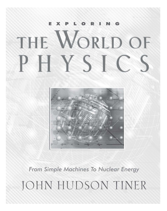# **XPLOR** THE WORLD OF PHYSIC



From Simple Machines To Nuclear Energy

## JOHN HUDSON TINER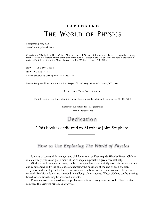## **EXPLORING** THE WORLD OF PHYSICS

<span id="page-1-0"></span>First printing: May 2006 Second printing: March 2008

Copyright © 2006 by John HudsonTiner. All rights reserved. No part of this book may be used or reproduced in any manner whatsoever without written permission of the publisher except in the case of brief quotations in articles and reviews. For information write: Master Books, P.O. Box 726, Green Forest, AR 72638.

ISBN-13: 978-0-89051-466-5 ISBN-10: 0-89051-466-6 Library of Congress Catalog Number: 2005936557

Interior Design and Layout: Carol and Eric Sawyer of Rose Design, Greenfield Center, NY 12833

Printed in the United States of America

For information regarding author interviews, please contact the publicity department at (870) 438-5288.

Please visit our website for other great titles:

www.masterbooks.net

## Dedication

## This book is dedicated to Matthew John Stephens.

## How to Use Exploring The World of Physics

 Students of several different ages and skill levels can use *Exploring the World of Physics*. Children in elementary grades can grasp many of the concepts, especially if given parental help.

Middle school students can enjoy the book independently and quickly test their understanding and comprehension by the challenge of answering the questions at the end of each chapter.

Junior high and high school students can revisit the book as a refresher course. The sections marked "For More Study" are intended to challenge older students. These sidebars can be a springboard for additional study by advanced students.

Thought-provoking questions and problems are found throughout the book. The activities reinforce the essential principles of physics.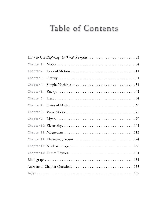## Table of Contents

| <b>Chapter 1:</b> |  |
|-------------------|--|
| <b>Chapter 2:</b> |  |
| <b>Chapter 3:</b> |  |
| <b>Chapter 4:</b> |  |
| <b>Chapter 5:</b> |  |
| <b>Chapter 6:</b> |  |
| <b>Chapter 7:</b> |  |
| <b>Chapter 8:</b> |  |
| <b>Chapter 9:</b> |  |
|                   |  |
|                   |  |
|                   |  |
|                   |  |
|                   |  |
|                   |  |
|                   |  |
|                   |  |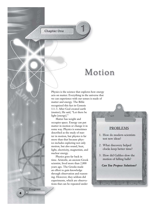<span id="page-3-0"></span>

## Motion

Physics is the science that explores how energy acts on matter. Everything in the universe that we can experience with our senses is made of matter and energy. The Bible recognized this fact in Genesis 1:1–3. After God created earth (matter), He said, "Let there be light [energy]."

Matter has weight and occupies space. Energy can put matter in motion or change it in some way. Physics is sometimes described as the study of matter in motion, but physics is far more than that because physics includes exploring not only motion, but also sound, heat, light, electricity, magnetism, and nuclear energy.

Physics goes far back in time. Aristotle, an ancient Greek scientist, lived more than 2,000 years ago. The Greeks made an effort to gain knowledge through observation and reasoning. However, they seldom did experiments, which are observations that can be repeated under

#### PROBLEMS

1. How do modern scientists test new ideas?

2. What discovery helped clocks keep better time?

3. How did Galileo slow the motion of falling balls?

*Can You Propose Solutions?*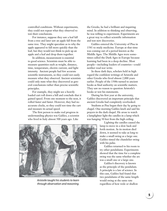controlled conditions. Without experiments, they could not repeat what they observed to test their conclusions.

For instance, suppose they saw a leaf fall from a tree and later saw an apple fall from the same tree. They might speculate as to why the apple appeared to fall more quickly than the leaf, but they would not think to pick up an apple and a leaf and drop them together.

In addition, measurement is essential to good science. Scientists must be able to measure quantities such as weight, distance, time, temperature, electric current, and light intensity. Ancient people had few accurate scientific instruments, so they could not easily measure what they observed. Ancient scientists could only state what they discovered as general conclusions rather than precise scientific principles.

For example, they might see a heavily loaded cart roll down a hill and conclude that it gained speed. From one moment to the next, it rolled faster and faster. However, they had no accurate clocks, so they could not time the cart and measure its actual speed.

The first person to make real progress in understanding physics was Galileo, a scientist who lived in Italy almost 500 years ago. Like

the Greeks, he had a brilliant and inquiring mind. In addition to thinking and observing, he was willing to experiment. Experiments are a great way to collect scientific information and test new discoveries.

Galileo entered the University of Pisa in 1581 to study medicine. Europe at that time was coming out of a period known as the Middle Ages. The Middle Ages were sometimes called the Dark Ages in Europe because learning had been in a deep decline. Most people—including leaders of countries—could neither read nor write.

In these dark days, scholars held in high regard the confident writings of Aristotle and other Greeks who lived almost 2,000 years earlier. People of the 1500s turned to ancient books as final authority on scientific matters. They saw no reason to question Aristotle's books or test his statements.

During his first year at the university, Galileo discovered an important principle that ancient Greeks had completely overlooked.

Students at Pisa began their day by going to chapel. One morning Galileo knelt and said his prayers in the dark chapel. He arose to watch a lamplighter light the candles in a lamp which was hanging 30 feet from the high ceiling.

> Lighting the candles caused the lamp to move in a slow back and forth motion. As its motion died down, it seemed to take as long to make a small swing as a large one. Galileo timed the chandelier swing with his pulse.

Galileo returned to his room to try other pendulums. Experiments showed that the time for a complete swing was the same whether the arc was a small one or a large one.

Galileo's discovery is known as the principle of the pendulum. A principle is a law of science. In this case, Galileo had found that two pendulums of the same length would swing at the same rate regardless of how wide or shallow



*Aristotle taught his students to learn through observation and reasoning.*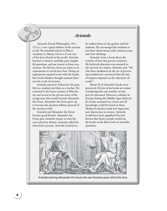### *Aristotle*

 Aristotle (Greek Philosopher, 384 – 322 b.c.) was a great thinker of the ancient world. He attended school at Plato's Academy in Athens, Greece. It was one of the best schools in the world. Aristotle learned to observe carefully, pose insightful questions, and use reason to form conclusions. He did not, however, learn to do experiments to reveal new facts. Doing an experiment required work with the hands, but Greek thinkers thought manual labor was the work of servants.

Aristotle stayed in Athens for 20 years, first as a student and then as a teacher. He returned to his home country of Macedonia and served as the private tutor of the young man who would become Alexander the Great. Alexander the Great grew up to become the greatest military general of the ancient world.

Aristotle and Alexander the Great became good friends. Alexander the Great gave Aristotle money to start his own school in Athens. Aristotle called his school the Lyceum. Aristotle lectured as

he walked about in the garden with his students. He encouraged his students to test their observations with common sense and clear thinking.

Aristotle wrote a book about the systems of laws that govern countries. He believed education was essential to the survival of a nation. Aristotle said, "All who have meditated on the art of governing mankind are convinced that the fate of empires depends on the education of youth."

About 50 of Aristotle's books were preserved. Errors in his books are minor considering the vast number of subjects he discussed. However, scholars in Europe during the Middle Ages believed his books contained no errors and all knowledge could be found in them. Medieval scholars made few important new discoveries in science. Aristotle would have been appalled if he had known that future people would use his books as the final word on scientific questions.



*Aristotle tutoring Alexander the Great who was fourteen years old at the time.*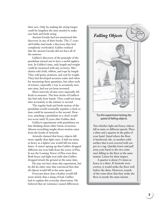their arcs. Only by making the string longer could he lengthen the time needed to make one back and forth swing.

Ancient Greeks had not mentioned this discovery in any of their books. The 17-yearold Galileo had made a discovery they had completely overlooked. Galileo realized that the ancient Greeks did not have all of the answers.

Galileo's discovery of the principle of the pendulum turned out to have a useful application. In Galileo's time, only length and weight could be measured with any accuracy. Merchants sold cloth, ribbon, and rope by length. They sold grain, potatoes, and coal by weight. They had developed accurate scales and rulers for measuring these quantities, but other tools of science, especially a way to accurately measure time, had not yet been invented.

Short intervals of time were especially difficult to measure. The best clocks of Galileo's day had only hour hands. They could not keep time accurately to the minute or second.

The regular back and forth motion of the pendulum would eventually regulate a clock so time could be measured to the second. However, attaching a pendulum to a clock would not occur until 30 years after Galileo died.

Galileo's experiments with pendulums set him thinking about other forms of motion. Almost everything taught about motion came from the books of Aristotle.

Aristotle claimed that heavy objects fall more rapidly than light ones. A ball ten times as heavy as a lighter one would fall ten times faster. A rumor sprang up that Galileo dropped different size iron balls from the tower of Pisa. It was the Leaning Tower of Pisa even then. Both heavy and light iron balls that Galileo dropped struck the ground at the same time.

He may not have done this experiment, but he did do other ones that convinced him that all objects would fall at the same speed.

Everyone knew that a feather would fall more slowly than a lump of lead. Galileo had to explain this everyday observation. He believed that air resistance caused differences *Falling Objects*

*Try this experiment testing the speed of falling objects.*

Test whether light and heavy objects fall at same or different speeds. Place a dime and a quarter in the palm of your hand. Stand where the floor is hardwood, tile, or another solid surface that is not covered with carpet or a rug. Quickly lower and pull away your hand so the two coins start falling to the floor at the same instant. Listen for their impact.

A quarter is about  $2\frac{1}{2}$  times as heavy as a dime. If Aristotle were correct, it would strike the floor well before the dime. However, sounds of the coins show that they strike the floor at nearly the same instant.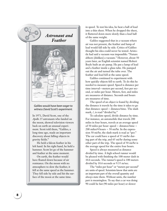



*Galileo would have been eager to witness David Scott's experiment.*

In 1971, David Scott, one of the *Apollo 15* astronauts who landed on the moon, showed television viewers back on earth an unusual experiment. Scott told them, "Galileo, a long time ago, made an important discovery about falling objects in gravity fields."

He held a falcon feather in his left hand. In his right hand, he held a hammer. Scott let go of the hammer and feather at the same moment.

On earth, the feather would have floated down because of air resistance. On the moon with no atmosphere to slow the feather, it fell at the same speed as the hammer. They fell side by side and hit the surface of the moon at the same time.

in speed. To test his idea, he beat a ball of lead into a thin sheet. When he dropped the sheet, it fluttered down more slowly than a lead ball of the same weight.

Galileo suggested that in a vacuum where air was not present, the feather and lump of lead would fall side by side. Critics of Galileo thought his idea could never be tested. Aristotle had said a vacuum was impossible: "Nature abhors [dislikes] a vacuum." However, about 50 years later, an English scientist named Robert Boyle built an air pump. He put a lump of lead and a feather inside a glass tube. He pumped out the air and turned the tube over. The feather and lead fell at the same speed.

Galileo continued to experiment with how quickly objects fell to earth. To do this he needed to measure speed. Speed is distance per time interval—meters per second, feet per second, or miles per hour. Meters, feet, and miles are measures of distance. Seconds and hours are measures of time.

The speed of an object is found by dividing the distance it travels by the time it takes to go that distance:  $speed = distance/time$ . The slash mark, /, is read "divided by."

To calculate speed, divide distance by time. For instance, an automobile that travels 200 miles in four hours, travels at an average speed of 50 miles per hour: speed  $=$  distance/time  $=$  $200$  miles/4 hours =  $50$  mi/hr. In the expression 50 mi/hr, the slash mark is read as "per." The car could have a speed of 35 mi/hr during part of the trip, and 65 mi/hr during some other part of the trip. The speed of 50 mi/hr is the average speed for the entire four hours.

Speed is always measured as distance divided by time. A high school runner would be pleased with finishing the 100-meter dash in 10.6 seconds. The runner's speed is 100 meters divided by 10.6 seconds or 9.35 m/sec.

The "miles per hour" or "meters per second" are units of speed. Scientists know that units are an important part of the overall quantity and always state them. Without units, the number part is meaningless. To say that a car was doing 90 could be fast (90 miles per hour) or slower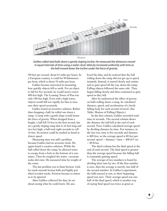

Distance

*Galileo rolled steel balls down a gently sloping incline. He measured the distances moved in equal intervals of time using a water clock. Velocity increased uniformly with time as the ball moved down the incline under the force of gravity.*

(90 feet per second, about 61 miles per hour). In a European country, it could be 90 kilometers per hour, which is about 56 miles per hour.

Galileo became interested in measuring how quickly objects fell to earth. For an object to fall for five seconds, he would need a tower 400 feet high. The Leaning Tower of Pisa was only 180 feet high. Even with a high tower, objects would fall too rapidly for him to measure their speed accurately.

Galileo found an inventive solution. Rather than dropping a ball, he rolled one down a ramp. A ramp with a gentle slope would lessen the force of gravity. When dropped from a height, a ball fell 16 feet in the first second, but on a gently sloping ramp that is 16 feet long and two feet high, a ball took eight seconds to roll 16 feet. Its motion could be studied in detail at slower speed.

Measuring time was still a problem because Galileo had no accurate clock. He again found a creative solution. While the ball rolled down the ramp, he allowed water to escape from a hole in the bottom of a container. Then he weighed the water—accurate scales did exist. He measured time by weight of the water.

The last problem was to limit friction. Galileo made smooth bronze balls and highly polished wooden tracks. Friction became so minor as to be ignored.

After Galileo collected his data, he set about seeing what he could learn. He analyzed the data, and he noticed that the ball rolling down the ramp did not get up to speed instantly. Instead, it started slowly and continued to gain speed all the way down the ramp. Falling objects followed the same rule. They began falling slowly and then continued to gain speed as they fell.

After he understood the effect of gravity on balls rolling down a ramp, he calculated distance, speed, and acceleration of a freely falling body for each second of travel. (See Table: Motion of Falling Objects.)

In the first column, Galileo recorded total time in seconds. The second column shows the distance the ball fell at the end of each second. Next, Galileo calculated average speed by dividing distance by time. For instance, in the last row, time is five seconds and distance is 400 feet, so the average speed is 80 feet per second: speed = distance / time =  $400$  ft/5 sec  $= 80$  ft/sec.

The third column has the final speed at the end of each second. The final speed is greater than the average speed because the falling ball is constantly gaining speed.

The average of two numbers is found by dividing their sum by two. If the first number is zero, then the average is merely one-half of the second number. In Galileo's experiment, the balls started at rest, so their beginning speed was zero. Their average speed was one half of the final speed, which is another way of saying final speed was twice as great as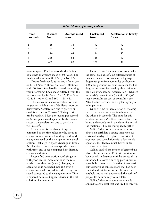| <b>Table: Motion of Falling Objects</b> |                         |                                |                              |                                                       |  |
|-----------------------------------------|-------------------------|--------------------------------|------------------------------|-------------------------------------------------------|--|
| <b>Time</b><br>seconds                  | <b>Distance</b><br>feet | <b>Average speed</b><br>ft/sec | <b>Final Speed</b><br>ft/sec | <b>Acceleration of Gravity</b><br>ft/sec <sup>2</sup> |  |
|                                         | 16                      | 16                             | 32                           | 32                                                    |  |
| 2                                       | 64                      | 32                             | 64                           | 32                                                    |  |
| 3                                       | 144                     | 48                             | 96                           | 32                                                    |  |
| $\overline{4}$                          | 256                     | 64                             | 128                          | 32                                                    |  |
|                                         | 400                     | 80                             | 160                          | 32                                                    |  |

average speed. For five seconds, the falling object has an average speed of 80 ft/sec. The final speed was twice 80 ft/sec, or 160 ft/sec.

Notice final speeds at the end of each second: 32 ft/sec, 64 ft/sec, 96 ft/sec, 138 ft/sec, and 160 ft/sec. Galileo discovered something very interesting. Each speed differed from the previous one by 32:  $64 - 32 = 32$ ;  $96 - 64 =$  $32, 128 - 96 = 32,$  and  $160 - 128 = 32$ .

The last column shows acceleration due to gravity, which is one of Galileo's important discoveries. Acceleration due to gravity on earth is written as 32 ft/sec<sup>2</sup>. This quantity can be read as 32 feet per second per second or 32 feet per second squared. In the metric system, the acceleration due to gravity is 9.81 m/sec<sup>2</sup>.

Acceleration is the change in speed compared to the time taken for the speed to change. Acceleration is found by dividing the change in speed by the change in time: acceleration  $=$  (change in speed)/(change in time). Acceleration compares how speed changes with time, and speed compares how distance changes with time.

People find acceleration confusing, and with good reason. Acceleration is the rate at which another rate (speed) changes, but acceleration is not speed, nor is it even a change in speed. Instead, it is the change in speed compared to the change in time. Time is squared because it appears twice in the calculation of acceleration.

Units of time for acceleration are usually the same, such as  $\sec^2$ , but different units of time can be used. For instance, a high-speed drag racer goes from zero miles per hour to 300 miles per hour in about five seconds. The dragster increases its speed by about 60 miles per hour every second. Acceleration  $=$  (change in speed)/(change in time) =  $(300 \text{ mi/hr})/(5$ sec) = 60 mi/hr per sec, or 60 mi/hr  $\times$  sec. After the first second, the dragster is going 60 miles per hour.

Units of time for acceleration of the dragster are not the same. One is in hours and the other is in seconds. The units for this acceleration are mi/hr  $\times$  sec because both the hours and seconds are in the denominators of the fractions. They are multiplied together.

Galileo's discoveries about motions of objects on earth had a strong impact on scientists of his day. He replaced centuries of argument and speculation with a few simple equations that led to a much better understanding of motion.

Galileo studied the motion of cannonballs blasted from a cannon. Projectile motion had been poorly understood until he proved that a cannonball followed a curving path known as a parabola. It was part of a series of geometric curves known as conic sections that had been studied in detail for centuries. Because the parabola was so well understood, the paths of projectiles became easy to calculate.

Galileo's discovery about cannonballs applied to any object that was fired or thrown.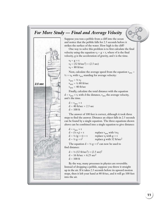## *For More Study — Final and Average Velocity*



Suppose you toss a pebble from a cliff into the ocean and notice that the pebble falls for 2.5 seconds before it strikes the surface of the water. How high is the cliff?

One way to solve this problem is to first calculate the final velocity using the equation  $v_f = g \times t$ , where vf is the final velocity, g is the acceleration of gravity, and t is the time.

$$
v_f = g \times t
$$
  
\n
$$
v_f = (32 \text{ ft/sec}^2) \times (2.5 \text{ sec})
$$
  
\n
$$
v_f = 80 \text{ ft/sec}
$$

Next, calculate the average speed from the equation  $v_{\text{ave}} =$  $\frac{1}{2} \times v_f$ , with  $v_{\text{ave}}$  standing for average velocity:

$$
v_{\text{ave}} = \frac{1}{2} v_{\text{f}}
$$
  

$$
v_{\text{ave}} = \frac{1}{2} 80 \text{ ft/sec}
$$
  

$$
v_{\text{ave}} = 40 \text{ ft/sec}
$$

Finally, calculate the total distance with the equation  $d = v_{\text{ave}} \times t$ , with d the distance,  $v_{\text{ave}}$  the average velocity, and t the time.

 $d = v_{\text{ave}} \times t$  $d = 40$  ft/sec  $\times$  2.5 sec  $d = 100$  ft

The answer of 100 feet is correct, although it took three steps to find the answer. Distance an object falls in 2.5 seconds can be found by a single equation. The three equations shown above can be combined into a single equation to give distance:

| $d = v_{ave} \times t$                  |                                                |
|-----------------------------------------|------------------------------------------------|
| $d = (\frac{1}{2} v_f) \times t$        | replace $v_{\text{ave}}$ with $\frac{1}{2}v_f$ |
| $d = \frac{1}{2} (g \times t) \times t$ | replace $v_f$ with $g \times t$                |
| $d = \frac{1}{2} g \times t^2$          | replace g with $32 \text{ ft/sec}^2$           |

The equation  $d = \frac{1}{2} g \times t^2$  can now be used to find distance:

 $d = \frac{1}{2} (32 \text{ ft/sec}^2) \times (2.5 \text{ sec})^2$  $d = 16$  ft/sec  $\times$  6.25 sec<sup>2</sup>  $d = 100$  ft

By the way, many processes in physics are reversible. Instead of dropping a pebble, suppose you threw it straight up in the air. If it takes 2.5 seconds before its upward motion stops, then it left your hand at 80 ft/sec, and it will go 100 feet into the air.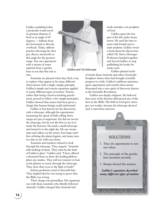Galileo established that a projectile would travel its greatest distance if fired at an angle of 45 degrees — halfway from the horizontal to directly overhead. Today, athletes practice throwing the shot put, discus, and javelin at this angle for the greatest range. You can experiment with a stream of water squirted from a garden hose to see that this rule is true.



*Galileo and his telescope*

Scientists are pleased when they find a way to replace what appear to be many different observations with a single, simple principle. Galileo's simple and concise equations applied to many different types of motion. Nature, rather than being a head-scratching puzzlement, proved to follow a few simple principles. Galileo showed that nature had been given a design that human beings could understand.

Galileo is best known for his discoveries with a telescope, although his experiments measuring the speed of balls rolling down ramps are just as important. He did not invent the telescope, but he was the first to use it to study the heavens. He made a small telescope and turned it to the night sky. He saw mountains and valleys on the moon, four large satellites orbiting the planet Jupiter, and many stars too dim to see with eyes alone.

Scientists and teachers refused to look through his telescope. They argued, "Aristotle tells nothing of them. They must be the fault of Galileo's glass." Galileo said, "I have offered a thousand times to show the leading philosophers my studies. They will not consent to look at the planets or moon through the telescope. They close their eyes to the light of truth!"

Jealous professors tried to discredit him. They implied that he was trying to prove that the Bible was wrong.

Their charge was groundless. His argument was with those scientists who blindly followed Aristotle. Galileo charged that Aristotle had

made mistakes, not prophets of God.

Galileo spent the last part of his life under house arrest. He used his time to meet with friends and to train students. Galileo wrote a book about his discoveries called *The Starry Messenger*. Professors banded together and forced Galileo to stop publishing his books for many years.

Galileo planted seeds

of doubt about Aristotle and other Greek philosophers whose ideas had brought scientific progress to a halt. Galileo's stubborn insistence upon experiments and careful observations blossomed into a new spirit of discovery known as the Scientific Revolution.

Galileo was deeply religious. He believed that none of his theories dishonored any of the facts in the Bible. His faith in God grew stronger, not weaker, because his telescope showed such a marvelous universe.

#### SOLUTIONS

- 1. They do experiments to test new ideas.
- 2. The principle of the pendulum measures seconds.
- 3. Ramps slowed the motion.

*Galileo's equations described many different types of motion.*